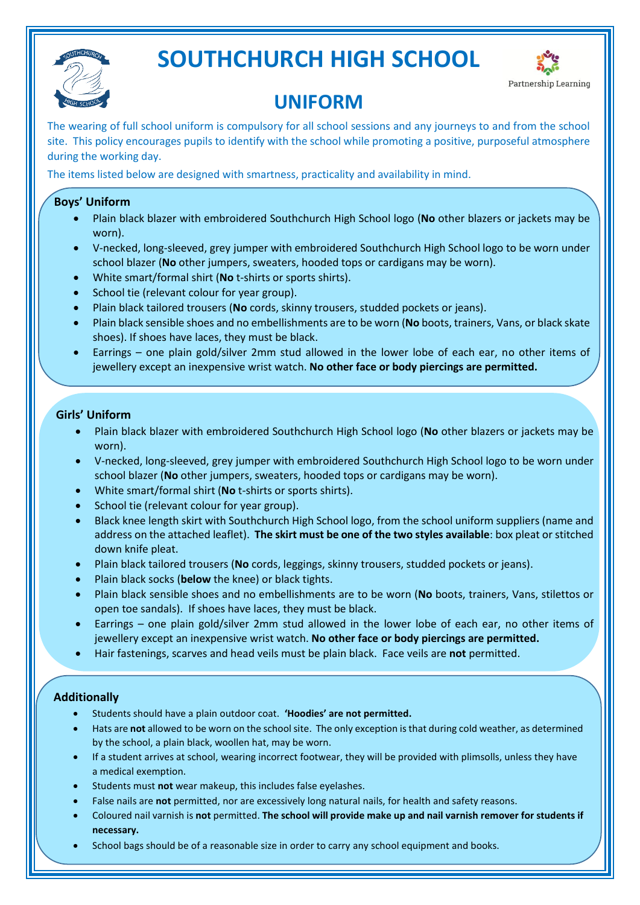

## **SOUTHCHURCH HIGH SCHOOL**



## **UNIFORM**

The wearing of full school uniform is compulsory for all school sessions and any journeys to and from the school site. This policy encourages pupils to identify with the school while promoting a positive, purposeful atmosphere during the working day.

The items listed below are designed with smartness, practicality and availability in mind.

### **Boys' Uniform**

- Plain black blazer with embroidered Southchurch High School logo (**No** other blazers or jackets may be worn).
- V-necked, long-sleeved, grey jumper with embroidered Southchurch High School logo to be worn under school blazer (**No** other jumpers, sweaters, hooded tops or cardigans may be worn).
- White smart/formal shirt (**No** t-shirts or sports shirts).
- School tie (relevant colour for year group).
- Plain black tailored trousers (**No** cords, skinny trousers, studded pockets or jeans).
- Plain black sensible shoes and no embellishments are to be worn (**No** boots, trainers, Vans, or black skate shoes). If shoes have laces, they must be black.
- Earrings one plain gold/silver 2mm stud allowed in the lower lobe of each ear, no other items of jewellery except an inexpensive wrist watch. **No other face or body piercings are permitted.**

#### **Girls' Uniform**

- Plain black blazer with embroidered Southchurch High School logo (**No** other blazers or jackets may be worn).
- V-necked, long-sleeved, grey jumper with embroidered Southchurch High School logo to be worn under school blazer (**No** other jumpers, sweaters, hooded tops or cardigans may be worn).
- White smart/formal shirt (**No** t-shirts or sports shirts).
- School tie (relevant colour for year group).
- Black knee length skirt with Southchurch High School logo, from the school uniform suppliers (name and address on the attached leaflet). **The skirt must be one of the two styles available**: box pleat or stitched down knife pleat.
- Plain black tailored trousers (**No** cords, leggings, skinny trousers, studded pockets or jeans).
- Plain black socks (**below** the knee) or black tights.
- Plain black sensible shoes and no embellishments are to be worn (**No** boots, trainers, Vans, stilettos or open toe sandals). If shoes have laces, they must be black.
- Earrings one plain gold/silver 2mm stud allowed in the lower lobe of each ear, no other items of jewellery except an inexpensive wrist watch. **No other face or body piercings are permitted.**
- Hair fastenings, scarves and head veils must be plain black. Face veils are **not** permitted.

#### **Additionally**

•

- Students should have a plain outdoor coat. **'Hoodies' are not permitted.**
- Hats are **not** allowed to be worn on the school site. The only exception is that during cold weather, as determined by the school, a plain black, woollen hat, may be worn.
- If a student arrives at school, wearing incorrect footwear, they will be provided with plimsolls, unless they have a medical exemption.
- Students must **not** wear makeup, this includes false eyelashes.
- False nails are **not** permitted, nor are excessively long natural nails, for health and safety reasons.
- Coloured nail varnish is **not** permitted. **The school will provide make up and nail varnish remover for students if necessary.**
- School bags should be of a reasonable size in order to carry any school equipment and books.